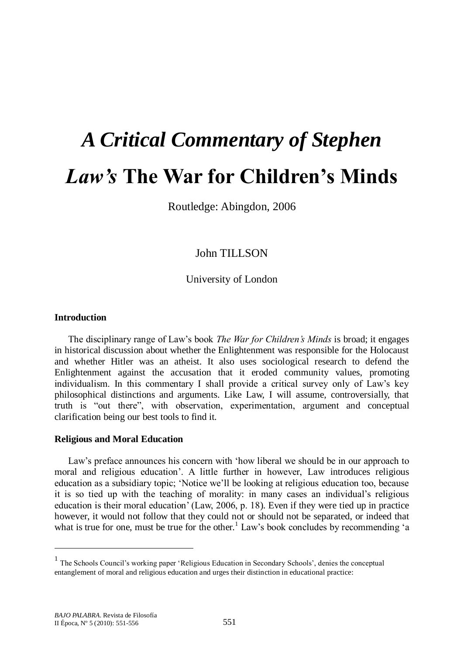# *A Critical Commentary of Stephen Law's* **The War for Children's Minds**

Routledge: Abingdon, 2006

John TILLSON

University of London

#### **Introduction**

The disciplinary range of Law's book *The War for Children's Minds* is broad; it engages in historical discussion about whether the Enlightenment was responsible for the Holocaust and whether Hitler was an atheist. It also uses sociological research to defend the Enlightenment against the accusation that it eroded community values, promoting individualism. In this commentary I shall provide a critical survey only of Law's key philosophical distinctions and arguments. Like Law, I will assume, controversially, that truth is "out there", with observation, experimentation, argument and conceptual clarification being our best tools to find it.

#### **Religious and Moral Education**

Law's preface announces his concern with 'how liberal we should be in our approach to moral and religious education'. A little further in however, Law introduces religious education as a subsidiary topic; ‗Notice we'll be looking at religious education too, because it is so tied up with the teaching of morality: in many cases an individual's religious education is their moral education' (Law, 2006, p. 18). Even if they were tied up in practice however, it would not follow that they could not or should not be separated, or indeed that what is true for one, must be true for the other.<sup>1</sup> Law's book concludes by recommending 'a

 $\overline{a}$ 

<sup>&</sup>lt;sup>1</sup> The Schools Council's working paper 'Religious Education in Secondary Schools', denies the conceptual entanglement of moral and religious education and urges their distinction in educational practice: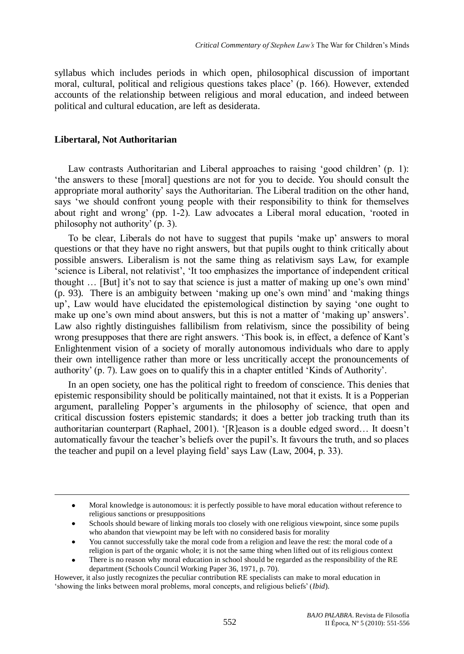syllabus which includes periods in which open, philosophical discussion of important moral, cultural, political and religious questions takes place' (p. 166). However, extended accounts of the relationship between religious and moral education, and indeed between political and cultural education, are left as desiderata.

## **Libertaral, Not Authoritarian**

 $\overline{a}$ 

Law contrasts Authoritarian and Liberal approaches to raising 'good children' (p. 1): ‗the answers to these [moral] questions are not for you to decide. You should consult the appropriate moral authority' says the Authoritarian. The Liberal tradition on the other hand, says ‗we should confront young people with their responsibility to think for themselves about right and wrong' (pp.  $1-2$ ). Law advocates a Liberal moral education, 'rooted in philosophy not authority' (p. 3).

To be clear, Liberals do not have to suggest that pupils ‗make up' answers to moral questions or that they have no right answers, but that pupils ought to think critically about possible answers. Liberalism is not the same thing as relativism says Law, for example ‗science is Liberal, not relativist', ‗It too emphasizes the importance of independent critical thought … [But] it's not to say that science is just a matter of making up one's own mind' (p. 93). There is an ambiguity between 'making up one's own mind' and 'making things up', Law would have elucidated the epistemological distinction by saying ‗one ought to make up one's own mind about answers, but this is not a matter of 'making up' answers'. Law also rightly distinguishes fallibilism from relativism, since the possibility of being wrong presupposes that there are right answers. 'This book is, in effect, a defence of Kant's Enlightenment vision of a society of morally autonomous individuals who dare to apply their own intelligence rather than more or less uncritically accept the pronouncements of authority' (p. 7). Law goes on to qualify this in a chapter entitled 'Kinds of Authority'.

In an open society, one has the political right to freedom of conscience. This denies that epistemic responsibility should be politically maintained, not that it exists. It is a Popperian argument, paralleling Popper's arguments in the philosophy of science, that open and critical discussion fosters epistemic standards; it does a better job tracking truth than its authoritarian counterpart (Raphael, 2001). ‗[R]eason is a double edged sword… It doesn't automatically favour the teacher's beliefs over the pupil's. It favours the truth, and so places the teacher and pupil on a level playing field' says Law (Law, 2004, p. 33).

Moral knowledge is autonomous: it is perfectly possible to have moral education without reference to religious sanctions or presuppositions

Schools should beware of linking morals too closely with one religious viewpoint, since some pupils who abandon that viewpoint may be left with no considered basis for morality

You cannot successfully take the moral code from a religion and leave the rest: the moral code of a religion is part of the organic whole; it is not the same thing when lifted out of its religious context

There is no reason why moral education in school should be regarded as the responsibility of the RE department (Schools Council Working Paper 36, 1971, p. 70).

However, it also justly recognizes the peculiar contribution RE specialists can make to moral education in ‗showing the links between moral problems, moral concepts, and religious beliefs' (*Ibid*).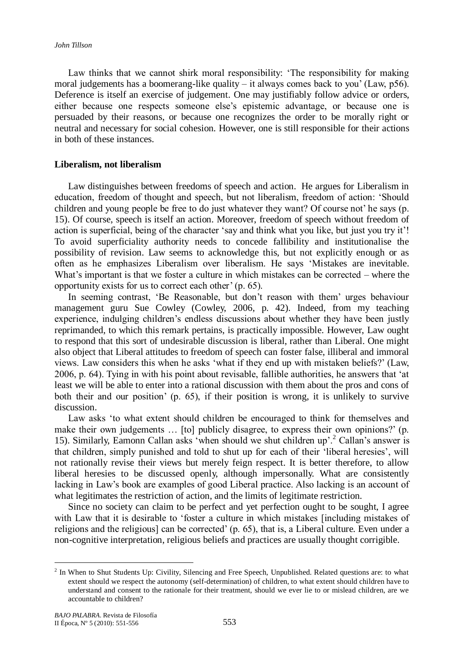Law thinks that we cannot shirk moral responsibility: 'The responsibility for making moral judgements has a boomerang-like quality – it always comes back to you' (Law, p56). Deference is itself an exercise of judgement. One may justifiably follow advice or orders, either because one respects someone else's epistemic advantage, or because one is persuaded by their reasons, or because one recognizes the order to be morally right or neutral and necessary for social cohesion. However, one is still responsible for their actions in both of these instances.

## **Liberalism, not liberalism**

Law distinguishes between freedoms of speech and action. He argues for Liberalism in education, freedom of thought and speech, but not liberalism, freedom of action: ‗Should children and young people be free to do just whatever they want? Of course not' he says (p. 15). Of course, speech is itself an action. Moreover, freedom of speech without freedom of action is superficial, being of the character 'say and think what you like, but just you try it'! To avoid superficiality authority needs to concede fallibility and institutionalise the possibility of revision. Law seems to acknowledge this, but not explicitly enough or as often as he emphasizes Liberalism over liberalism. He says ‗Mistakes are inevitable. What's important is that we foster a culture in which mistakes can be corrected – where the opportunity exists for us to correct each other' (p. 65).

In seeming contrast, 'Be Reasonable, but don't reason with them' urges behaviour management guru Sue Cowley (Cowley, 2006, p. 42). Indeed, from my teaching experience, indulging children's endless discussions about whether they have been justly reprimanded, to which this remark pertains, is practically impossible. However, Law ought to respond that this sort of undesirable discussion is liberal, rather than Liberal. One might also object that Liberal attitudes to freedom of speech can foster false, illiberal and immoral views. Law considers this when he asks ‗what if they end up with mistaken beliefs?' (Law, 2006, p. 64). Tying in with his point about revisable, fallible authorities, he answers that ‗at least we will be able to enter into a rational discussion with them about the pros and cons of both their and our position' (p. 65), if their position is wrong, it is unlikely to survive discussion.

Law asks ‗to what extent should children be encouraged to think for themselves and make their own judgements … [to] publicly disagree, to express their own opinions?' (p. 15). Similarly, Eamonn Callan asks ‗when should we shut children up'.<sup>2</sup> Callan's answer is that children, simply punished and told to shut up for each of their ‗liberal heresies', will not rationally revise their views but merely feign respect. It is better therefore, to allow liberal heresies to be discussed openly, although impersonally. What are consistently lacking in Law's book are examples of good Liberal practice. Also lacking is an account of what legitimates the restriction of action, and the limits of legitimate restriction.

Since no society can claim to be perfect and yet perfection ought to be sought, I agree with Law that it is desirable to 'foster a culture in which mistakes [including mistakes of religions and the religious] can be corrected' (p. 65), that is, a Liberal culture. Even under a non-cognitive interpretation, religious beliefs and practices are usually thought corrigible.

 $\overline{a}$ 

<sup>&</sup>lt;sup>2</sup> In When to Shut Students Up: Civility, Silencing and Free Speech, Unpublished. Related questions are: to what extent should we respect the autonomy (self-determination) of children, to what extent should children have to understand and consent to the rationale for their treatment, should we ever lie to or mislead children, are we accountable to children?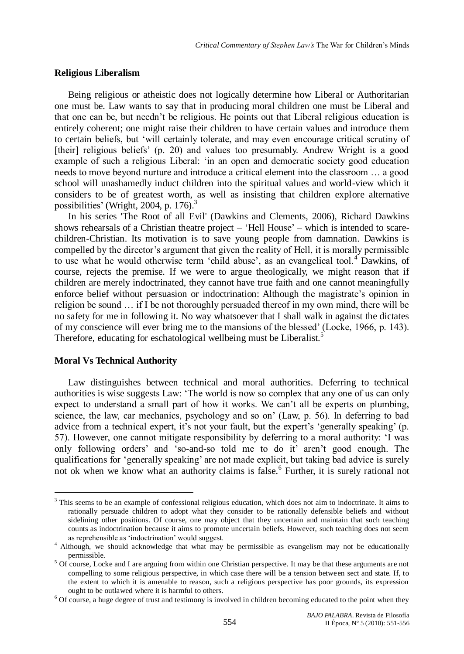#### **Religious Liberalism**

Being religious or atheistic does not logically determine how Liberal or Authoritarian one must be. Law wants to say that in producing moral children one must be Liberal and that one can be, but needn't be religious. He points out that Liberal religious education is entirely coherent; one might raise their children to have certain values and introduce them to certain beliefs, but ‗will certainly tolerate, and may even encourage critical scrutiny of [their] religious beliefs' (p. 20) and values too presumably. Andrew Wright is a good example of such a religious Liberal: 'in an open and democratic society good education needs to move beyond nurture and introduce a critical element into the classroom … a good school will unashamedly induct children into the spiritual values and world-view which it considers to be of greatest worth, as well as insisting that children explore alternative possibilities[' \(Wright, 2004, p. 176\).](http://co111w.col111.mail.live.com/mail/InboxLight.aspx?FolderID=00000000-0000-0000-0000-000000000001&InboxSortAscending=False&InboxSortBy=Date&n=1669303752#_ftn7) 3

In his series 'The Root of all Evil' (Dawkins and Clements, 2006), Richard Dawkins shows rehearsals of a Christian theatre project  $-$  'Hell House'  $-$  which is intended to scarechildren-Christian. Its motivation is to save young people from damnation. Dawkins is compelled by the director's argument that given the reality of Hell, it is morally permissible to use what he would otherwise term 'child abuse', as an evangelical tool.<sup>4</sup> Dawkins, of course, rejects the premise. If we were to argue theologically, we might reason that if children are merely indoctrinated, they cannot have true faith and one cannot meaningfully enforce belief without persuasion or indoctrination: Although the magistrate's opinion in religion be sound … if I be not thoroughly persuaded thereof in my own mind, there will be no safety for me in following it. No way whatsoever that I shall walk in against the dictates of my conscience will ever bring me to the mansions of the blessed' (Locke, 1966, p. 143). Therefore, educating for eschatological wellbeing must be Liberalist.<sup>5</sup>

#### **Moral Vs Technical Authority**

 $\overline{a}$ 

Law distinguishes between technical and moral authorities. Deferring to technical authorities is wise suggests Law: ‗The world is now so complex that any one of us can only expect to understand a small part of how it works. We can't all be experts on plumbing, science, the law, car mechanics, psychology and so on' (Law, p. 56). In deferring to bad advice from a technical expert, it's not your fault, but the expert's ‗generally speaking' (p. 57). However, one cannot mitigate responsibility by deferring to a moral authority: ‗I was only following orders' and ‗so-and-so told me to do it' aren't good enough. The qualifications for ‗generally speaking' are not made explicit, but taking bad advice is surely not ok when we know what an authority claims is false.<sup>6</sup> Further, it is surely rational not

<sup>&</sup>lt;sup>3</sup> This seems to be an example of confessional religious education, which does not aim to indoctrinate. It aims to rationally persuade children to adopt what they consider to be rationally defensible beliefs and without sidelining other positions. Of course, one may object that they uncertain and maintain that such teaching counts as indoctrination because it aims to promote uncertain beliefs. However, such teaching does not seem as reprehensible as 'indoctrination' would suggest.

<sup>&</sup>lt;sup>4</sup> Although, we should acknowledge that what may be permissible as evangelism may not be educationally permissible.

<sup>&</sup>lt;sup>5</sup> Of course, Locke and I are arguing from within one Christian perspective. It may be that these arguments are not compelling to some religious perspective, in which case there will be a tension between sect and state. If, to the extent to which it is amenable to reason, such a religious perspective has poor grounds, its expression ought to be outlawed where it is harmful to others.

 $6$  Of course, a huge degree of trust and testimony is involved in children becoming educated to the point when they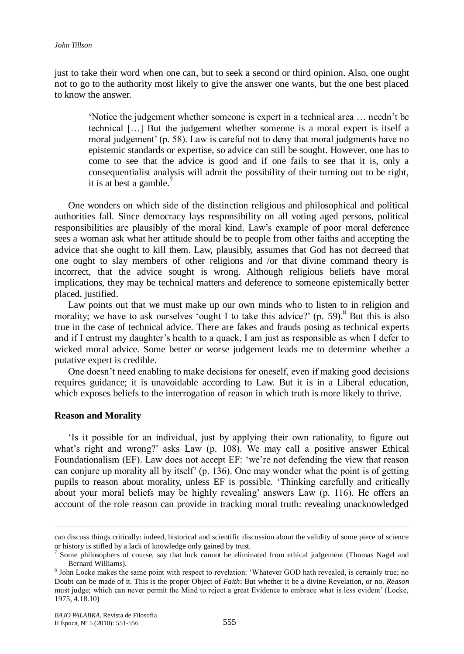just to take their word when one can, but to seek a second or third opinion. Also, one ought not to go to the authority most likely to give the answer one wants, but the one best placed to know the answer.

‗Notice the judgement whether someone is expert in a technical area … needn't be technical […] But the judgement whether someone is a moral expert is itself a moral judgement' (p. 58). Law is careful not to deny that moral judgments have no epistemic standards or expertise, so advice can still be sought. However, one has to come to see that the advice is good and if one fails to see that it is, only a consequentialist analysis will admit the possibility of their turning out to be right, it is at best a gamble.

One wonders on which side of the distinction religious and philosophical and political authorities fall. Since democracy lays responsibility on all voting aged persons, political responsibilities are plausibly of the moral kind. Law's example of poor moral deference sees a woman ask what her attitude should be to people from other faiths and accepting the advice that she ought to kill them. Law, plausibly, assumes that God has not decreed that one ought to slay members of other religions and /or that divine command theory is incorrect, that the advice sought is wrong. Although religious beliefs have moral implications, they may be technical matters and deference to someone epistemically better placed, justified.

Law points out that we must make up our own minds who to listen to in religion and morality; we have to ask ourselves 'ought I to take this advice?' (p. 59). <sup>8</sup> But this is also true in the case of technical advice. There are fakes and frauds posing as technical experts and if I entrust my daughter's health to a quack, I am just as responsible as when I defer to wicked moral advice. Some better or worse judgement leads me to determine whether a putative expert is credible.

One doesn't need enabling to make decisions for oneself, even if making good decisions requires guidance; it is unavoidable according to Law. But it is in a Liberal education, which exposes beliefs to the interrogation of reason in which truth is more likely to thrive.

#### **Reason and Morality**

 $\overline{a}$ 

‗Is it possible for an individual, just by applying their own rationality, to figure out what's right and wrong?' asks Law (p. 108). We may call a positive answer Ethical Foundationalism (EF). Law does not accept EF: ‗we're not defending the view that reason can conjure up morality all by itself' (p. 136). One may wonder what the point is of getting pupils to reason about morality, unless EF is possible. ‗Thinking carefully and critically about your moral beliefs may be highly revealing' answers Law (p. 116). He offers an account of the role reason can provide in tracking moral truth: revealing unacknowledged

can discuss things critically: indeed, historical and scientific discussion about the validity of some piece of science or history is stifled by a lack of knowledge only gained by trust.

<sup>7</sup> Some philosophers of course, say that luck cannot be eliminated from ethical judgement (Thomas Nagel and Bernard Williams).

<sup>&</sup>lt;sup>8</sup> John Locke makes the same point with respect to revelation: 'Whatever GOD hath revealed, is certainly true; no Doubt can be made of it. This is the proper Object of *Faith*: But whether it be a divine Revelation, or no, *Reason* must judge; which can never permit the Mind to reject a great Evidence to embrace what is less evident' (Locke, 1975, 4.18.10)